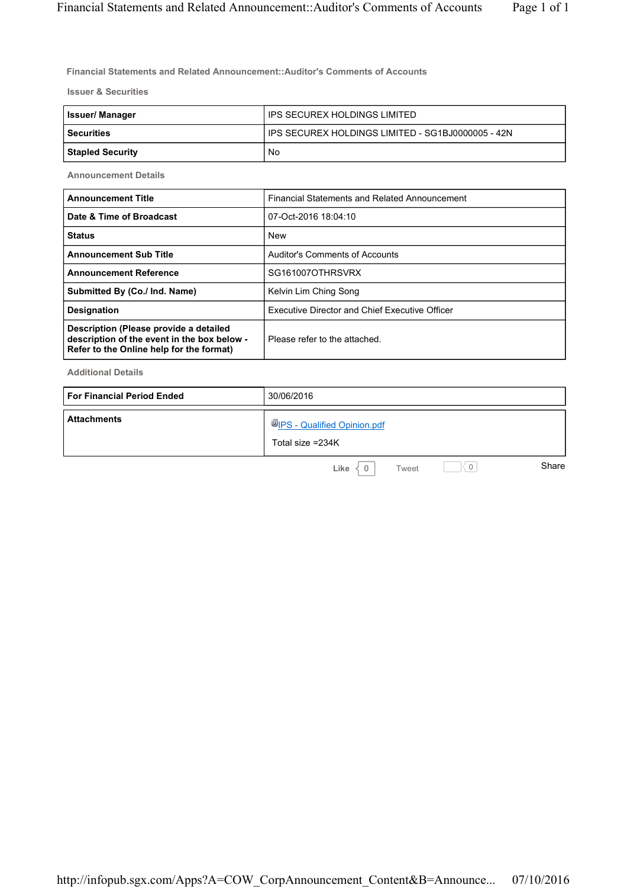**Financial Statements and Related Announcement::Auditor's Comments of Accounts**

**Issuer & Securities**

| <b>Issuer/Manager</b>   | IPS SECUREX HOLDINGS LIMITED                      |
|-------------------------|---------------------------------------------------|
| l Securities            | IPS SECUREX HOLDINGS LIMITED - SG1BJ0000005 - 42N |
| <b>Stapled Security</b> | No                                                |

**Announcement Details**

| <b>Announcement Title</b>                                                                                                         | Financial Statements and Related Announcement         |  |
|-----------------------------------------------------------------------------------------------------------------------------------|-------------------------------------------------------|--|
| Date & Time of Broadcast                                                                                                          | 07-Oct-2016 18:04:10                                  |  |
| <b>Status</b>                                                                                                                     | <b>New</b>                                            |  |
| <b>Announcement Sub Title</b>                                                                                                     | Auditor's Comments of Accounts                        |  |
| <b>Announcement Reference</b>                                                                                                     | SG161007OTHRSVRX                                      |  |
| Submitted By (Co./ Ind. Name)                                                                                                     | Kelvin Lim Ching Song                                 |  |
| <b>Designation</b>                                                                                                                | <b>Executive Director and Chief Executive Officer</b> |  |
| Description (Please provide a detailed<br>description of the event in the box below -<br>Refer to the Online help for the format) | Please refer to the attached.                         |  |

**Additional Details**

| <b>For Financial Period Ended</b> | 30/06/2016                                      |
|-----------------------------------|-------------------------------------------------|
| <b>Attachments</b>                | UPS - Qualified Opinion.pdf<br>Total size =234K |
|                                   | Share<br>Like<br>Tweet                          |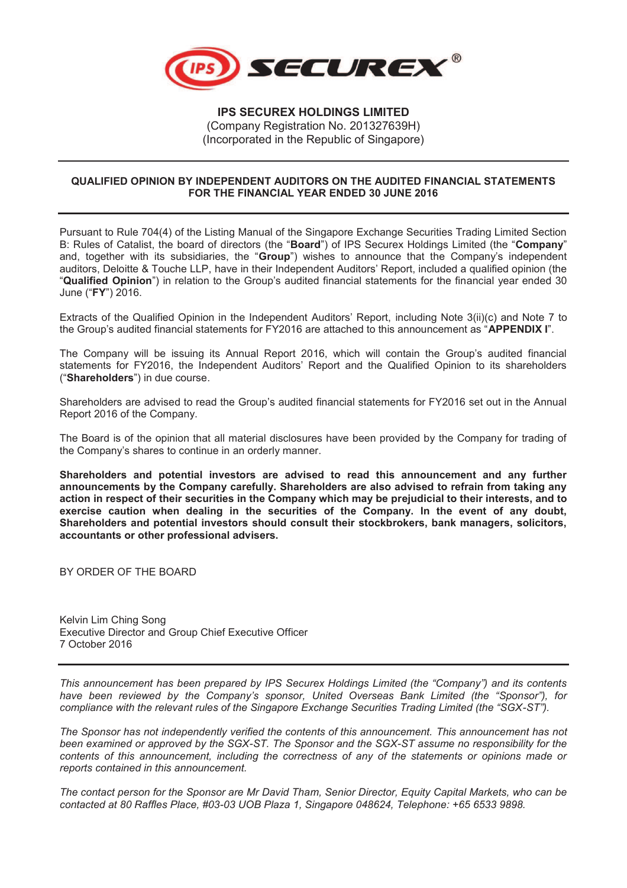

## **QUALIFIED OPINION BY INDEPENDENT AUDITORS ON THE AUDITED FINANCIAL STATEMENTS FOR THE FINANCIAL YEAR ENDED 30 JUNE 2016**

Pursuant to Rule 704(4) of the Listing Manual of the Singapore Exchange Securities Trading Limited Section B: Rules of Catalist, the board of directors (the "**Board**") of IPS Securex Holdings Limited (the "**Company**" and, together with its subsidiaries, the "**Group**") wishes to announce that the Company's independent auditors, Deloitte & Touche LLP, have in their Independent Auditors' Report, included a qualified opinion (the "**Qualified Opinion**") in relation to the Group's audited financial statements for the financial year ended 30 June ("**FY**") 2016.

Extracts of the Qualified Opinion in the Independent Auditors' Report, including Note 3(ii)(c) and Note 7 to the Group's audited financial statements for FY2016 are attached to this announcement as "**APPENDIX I**".

The Company will be issuing its Annual Report 2016, which will contain the Group's audited financial statements for FY2016, the Independent Auditors' Report and the Qualified Opinion to its shareholders ("**Shareholders**") in due course.

Shareholders are advised to read the Group's audited financial statements for FY2016 set out in the Annual Report 2016 of the Company.

The Board is of the opinion that all material disclosures have been provided by the Company for trading of the Company's shares to continue in an orderly manner.

**Shareholders and potential investors are advised to read this announcement and any further announcements by the Company carefully. Shareholders are also advised to refrain from taking any action in respect of their securities in the Company which may be prejudicial to their interests, and to exercise caution when dealing in the securities of the Company. In the event of any doubt, Shareholders and potential investors should consult their stockbrokers, bank managers, solicitors, accountants or other professional advisers.** 

BY ORDER OF THE BOARD

Kelvin Lim Ching Song Executive Director and Group Chief Executive Officer 7 October 2016

*This announcement has been prepared by IPS Securex Holdings Limited (the "Company") and its contents have been reviewed by the Company's sponsor, United Overseas Bank Limited (the "Sponsor"), for compliance with the relevant rules of the Singapore Exchange Securities Trading Limited (the "SGX-ST").*

*The Sponsor has not independently verified the contents of this announcement. This announcement has not been examined or approved by the SGX-ST. The Sponsor and the SGX-ST assume no responsibility for the contents of this announcement, including the correctness of any of the statements or opinions made or reports contained in this announcement.* 

*The contact person for the Sponsor are Mr David Tham, Senior Director, Equity Capital Markets, who can be contacted at 80 Raffles Place, #03-03 UOB Plaza 1, Singapore 048624, Telephone: +65 6533 9898.*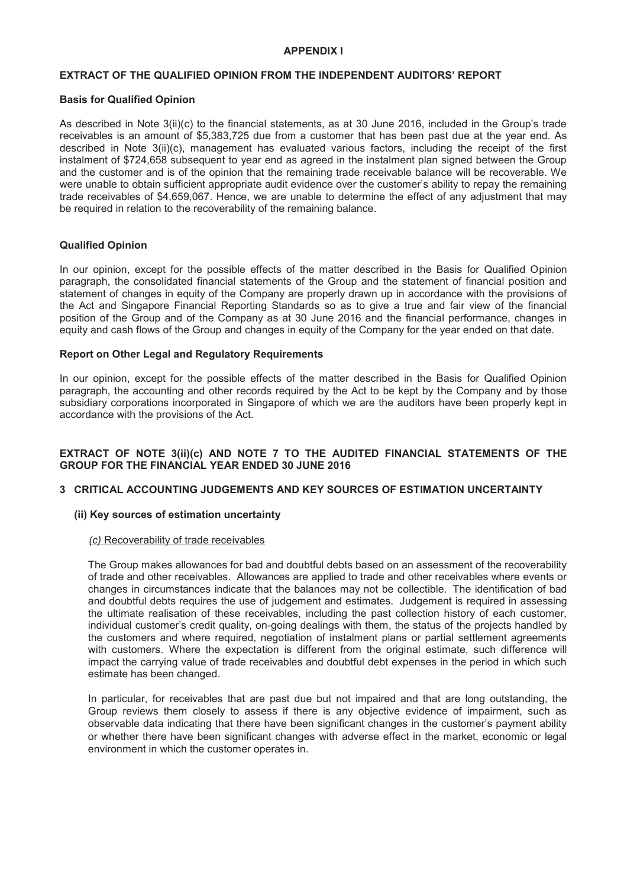## **APPENDIX I**

## **EXTRACT OF THE QUALIFIED OPINION FROM THE INDEPENDENT AUDITORS' REPORT**

#### **Basis for Qualified Opinion**

As described in Note 3(ii)(c) to the financial statements, as at 30 June 2016, included in the Group's trade receivables is an amount of \$5,383,725 due from a customer that has been past due at the year end. As described in Note 3(ii)(c), management has evaluated various factors, including the receipt of the first instalment of \$724,658 subsequent to year end as agreed in the instalment plan signed between the Group and the customer and is of the opinion that the remaining trade receivable balance will be recoverable. We were unable to obtain sufficient appropriate audit evidence over the customer's ability to repay the remaining trade receivables of \$4,659,067. Hence, we are unable to determine the effect of any adjustment that may be required in relation to the recoverability of the remaining balance.

#### **Qualified Opinion**

In our opinion, except for the possible effects of the matter described in the Basis for Qualified Opinion paragraph, the consolidated financial statements of the Group and the statement of financial position and statement of changes in equity of the Company are properly drawn up in accordance with the provisions of the Act and Singapore Financial Reporting Standards so as to give a true and fair view of the financial position of the Group and of the Company as at 30 June 2016 and the financial performance, changes in equity and cash flows of the Group and changes in equity of the Company for the year ended on that date.

#### **Report on Other Legal and Regulatory Requirements**

In our opinion, except for the possible effects of the matter described in the Basis for Qualified Opinion paragraph, the accounting and other records required by the Act to be kept by the Company and by those subsidiary corporations incorporated in Singapore of which we are the auditors have been properly kept in accordance with the provisions of the Act.

## **EXTRACT OF NOTE 3(ii)(c) AND NOTE 7 TO THE AUDITED FINANCIAL STATEMENTS OF THE GROUP FOR THE FINANCIAL YEAR ENDED 30 JUNE 2016**

## **3 CRITICAL ACCOUNTING JUDGEMENTS AND KEY SOURCES OF ESTIMATION UNCERTAINTY**

#### **(ii) Key sources of estimation uncertainty**

#### *(c)* Recoverability of trade receivables

The Group makes allowances for bad and doubtful debts based on an assessment of the recoverability of trade and other receivables. Allowances are applied to trade and other receivables where events or changes in circumstances indicate that the balances may not be collectible. The identification of bad and doubtful debts requires the use of judgement and estimates. Judgement is required in assessing the ultimate realisation of these receivables, including the past collection history of each customer, individual customer's credit quality, on-going dealings with them, the status of the projects handled by the customers and where required, negotiation of instalment plans or partial settlement agreements with customers. Where the expectation is different from the original estimate, such difference will impact the carrying value of trade receivables and doubtful debt expenses in the period in which such estimate has been changed.

In particular, for receivables that are past due but not impaired and that are long outstanding, the Group reviews them closely to assess if there is any objective evidence of impairment, such as observable data indicating that there have been significant changes in the customer's payment ability or whether there have been significant changes with adverse effect in the market, economic or legal environment in which the customer operates in.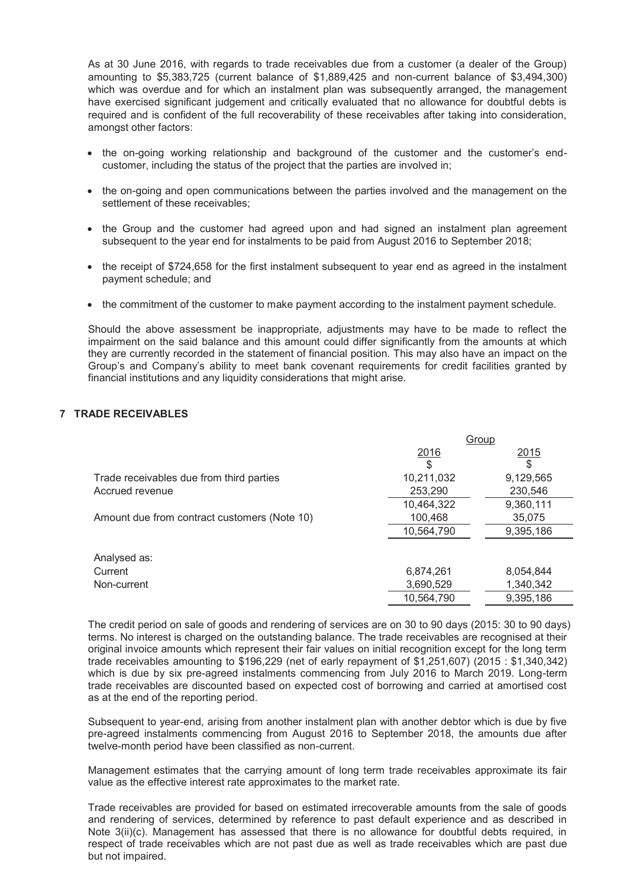As at 30 June 2016, with regards to trade receivables due from a customer (a dealer of the Group) amounting to \$5,383,725 (current balance of \$1,889,425 and non-current balance of \$3,494,300) which was overdue and for which an instalment plan was subsequently arranged, the management have exercised significant judgement and critically evaluated that no allowance for doubtful debts is required and is confident of the full recoverability of these receivables after taking into consideration, amongst other factors:

- · the on-going working relationship and background of the customer and the customer's endcustomer, including the status of the project that the parties are involved in;
- · the on-going and open communications between the parties involved and the management on the settlement of these receivables;
- · the Group and the customer had agreed upon and had signed an instalment plan agreement subsequent to the year end for instalments to be paid from August 2016 to September 2018;
- · the receipt of \$724,658 for the first instalment subsequent to year end as agreed in the instalment payment schedule; and
- · the commitment of the customer to make payment according to the instalment payment schedule.

Should the above assessment be inappropriate, adjustments may have to be made to reflect the impairment on the said balance and this amount could differ significantly from the amounts at which they are currently recorded in the statement of financial position. This may also have an impact on the Group's and Company's ability to meet bank covenant requirements for credit facilities granted by financial institutions and any liquidity considerations that might arise.

# **7 TRADE RECEIVABLES**

|                                              | Group      |           |
|----------------------------------------------|------------|-----------|
|                                              | 2016       | 2015      |
|                                              | S          | \$        |
| Trade receivables due from third parties     | 10,211,032 | 9,129,565 |
| Accrued revenue                              | 253,290    | 230,546   |
|                                              | 10,464,322 | 9,360,111 |
| Amount due from contract customers (Note 10) | 100,468    | 35,075    |
|                                              | 10,564,790 | 9,395,186 |
| Analysed as:                                 |            |           |
| Current                                      | 6,874,261  | 8,054,844 |
| Non-current                                  | 3,690,529  | 1,340,342 |
|                                              | 10,564,790 | 9,395,186 |

The credit period on sale of goods and rendering of services are on 30 to 90 days (2015: 30 to 90 days) terms. No interest is charged on the outstanding balance. The trade receivables are recognised at their original invoice amounts which represent their fair values on initial recognition except for the long term trade receivables amounting to \$196,229 (net of early repayment of \$1,251,607) (2015 : \$1,340,342) which is due by six pre-agreed instalments commencing from July 2016 to March 2019. Long-term trade receivables are discounted based on expected cost of borrowing and carried at amortised cost as at the end of the reporting period.

Subsequent to year-end, arising from another instalment plan with another debtor which is due by five pre-agreed instalments commencing from August 2016 to September 2018, the amounts due after twelve-month period have been classified as non-current.

Management estimates that the carrying amount of long term trade receivables approximate its fair value as the effective interest rate approximates to the market rate.

Trade receivables are provided for based on estimated irrecoverable amounts from the sale of goods and rendering of services, determined by reference to past default experience and as described in Note 3(ii)(c). Management has assessed that there is no allowance for doubtful debts required, in respect of trade receivables which are not past due as well as trade receivables which are past due but not impaired.